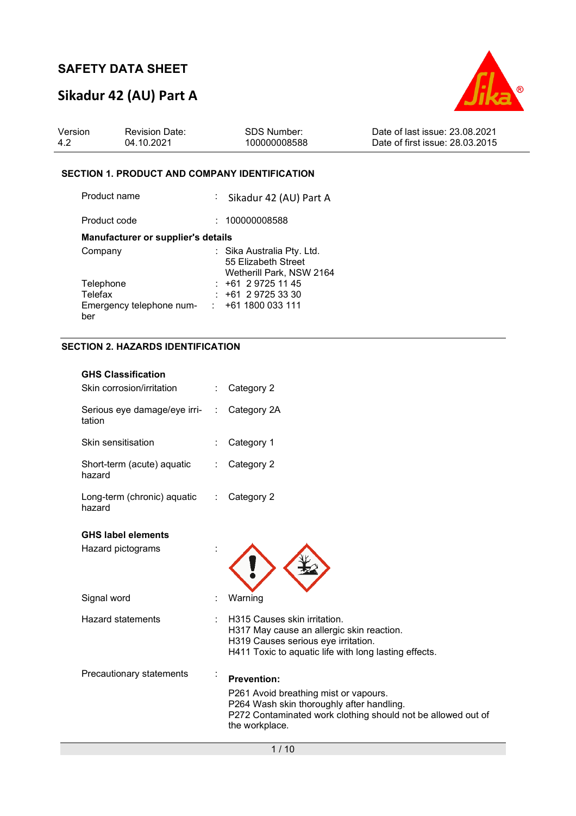# **Sikadur 42 (AU) Part A**



| Version | <b>Revision Date:</b> | SDS Number:  | Date of last issue: 23.08.2021  |
|---------|-----------------------|--------------|---------------------------------|
| -4.2    | 04.10.2021            | 100000008588 | Date of first issue: 28.03.2015 |

#### **SECTION 1. PRODUCT AND COMPANY IDENTIFICATION**

| Product name                       | : Sikadur 42 (AU) Part A                                                      |
|------------------------------------|-------------------------------------------------------------------------------|
| Product code                       | : 100000008588                                                                |
| Manufacturer or supplier's details |                                                                               |
| Company                            | : Sika Australia Pty. Ltd.<br>55 Elizabeth Street<br>Wetherill Park, NSW 2164 |
| Telephone                          | $: +61297251145$                                                              |
| Telefax                            | $: +61297253330$                                                              |
| Emergency telephone num-<br>ber    | $: +611800033111$                                                             |

#### **SECTION 2. HAZARDS IDENTIFICATION**

| <b>GHS Classification</b><br>Skin corrosion/irritation |   | Category 2                                                                                                                                                                                 |
|--------------------------------------------------------|---|--------------------------------------------------------------------------------------------------------------------------------------------------------------------------------------------|
| Serious eye damage/eye irri-<br>tation                 | ÷ | Category 2A                                                                                                                                                                                |
| Skin sensitisation                                     |   | Category 1                                                                                                                                                                                 |
| Short-term (acute) aquatic<br>hazard                   |   | Category 2                                                                                                                                                                                 |
| Long-term (chronic) aquatic<br>hazard                  | ÷ | Category 2                                                                                                                                                                                 |
| <b>GHS label elements</b><br>Hazard pictograms         |   |                                                                                                                                                                                            |
| Signal word                                            |   | Warning                                                                                                                                                                                    |
| <b>Hazard statements</b>                               |   | H315 Causes skin irritation.<br>H317 May cause an allergic skin reaction.<br>H319 Causes serious eye irritation.<br>H411 Toxic to aquatic life with long lasting effects.                  |
| Precautionary statements                               |   | <b>Prevention:</b><br>P261 Avoid breathing mist or vapours.<br>P264 Wash skin thoroughly after handling.<br>P272 Contaminated work clothing should not be allowed out of<br>the workplace. |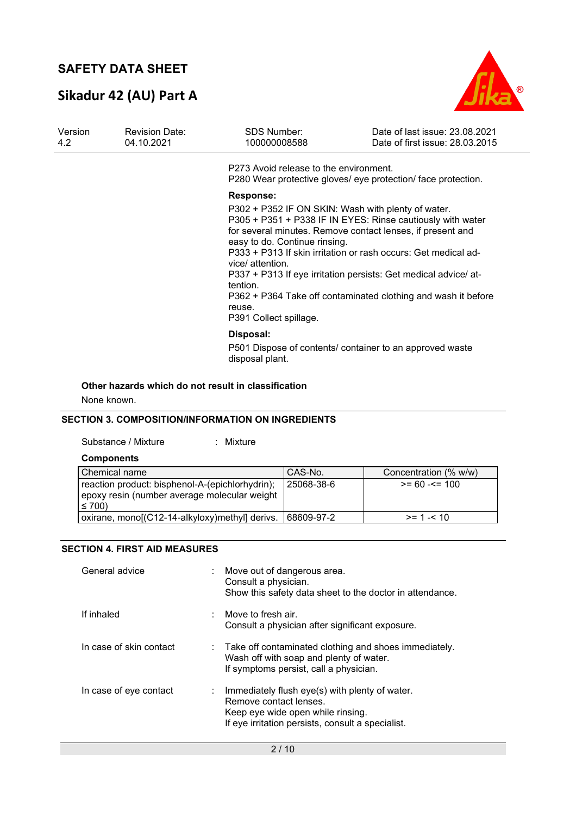# **Sikadur 42 (AU) Part A**



| Version<br>4.2 | <b>Revision Date:</b><br>04.10.2021 | <b>SDS Number:</b><br>100000008588                                                                                                                                          | Date of last issue: 23.08.2021<br>Date of first issue: 28.03.2015                                                                                                                                                                                                                                                              |
|----------------|-------------------------------------|-----------------------------------------------------------------------------------------------------------------------------------------------------------------------------|--------------------------------------------------------------------------------------------------------------------------------------------------------------------------------------------------------------------------------------------------------------------------------------------------------------------------------|
|                |                                     | P273 Avoid release to the environment.                                                                                                                                      | P280 Wear protective gloves/ eye protection/ face protection.                                                                                                                                                                                                                                                                  |
|                |                                     | <b>Response:</b><br>P302 + P352 IF ON SKIN: Wash with plenty of water.<br>easy to do. Continue rinsing.<br>vice/ attention.<br>tention.<br>reuse.<br>P391 Collect spillage. | P305 + P351 + P338 IF IN EYES: Rinse cautiously with water<br>for several minutes. Remove contact lenses, if present and<br>P333 + P313 If skin irritation or rash occurs: Get medical ad-<br>P337 + P313 If eye irritation persists: Get medical advice/ at-<br>P362 + P364 Take off contaminated clothing and wash it before |
|                |                                     | Disposal:<br>disposal plant.                                                                                                                                                | P501 Dispose of contents/ container to an approved waste                                                                                                                                                                                                                                                                       |

#### **Other hazards which do not result in classification**

None known.

#### **SECTION 3. COMPOSITION/INFORMATION ON INGREDIENTS**

Substance / Mixture : Mixture :

| Components |  |
|------------|--|
|------------|--|

| Chemical name                                                                                                 | CAS-No.    | Concentration (% w/w) |
|---------------------------------------------------------------------------------------------------------------|------------|-----------------------|
| reaction product: bisphenol-A-(epichlorhydrin);<br>epoxy resin (number average molecular weight<br>$\leq 700$ | 25068-38-6 | $>= 60 - 5 = 100$     |
| oxirane, mono[(C12-14-alkyloxy)methyl] derivs.                                                                | 68609-97-2 | $>= 1 - 10$           |

#### **SECTION 4. FIRST AID MEASURES**

| General advice          | Move out of dangerous area.<br>÷.<br>Consult a physician.<br>Show this safety data sheet to the doctor in attendance.                                              |
|-------------------------|--------------------------------------------------------------------------------------------------------------------------------------------------------------------|
| If inhaled              | Move to fresh air.<br>Consult a physician after significant exposure.                                                                                              |
| In case of skin contact | $\therefore$ Take off contaminated clothing and shoes immediately.<br>Wash off with soap and plenty of water.<br>If symptoms persist, call a physician.            |
| In case of eye contact  | Immediately flush eye(s) with plenty of water.<br>Remove contact lenses.<br>Keep eye wide open while rinsing.<br>If eye irritation persists, consult a specialist. |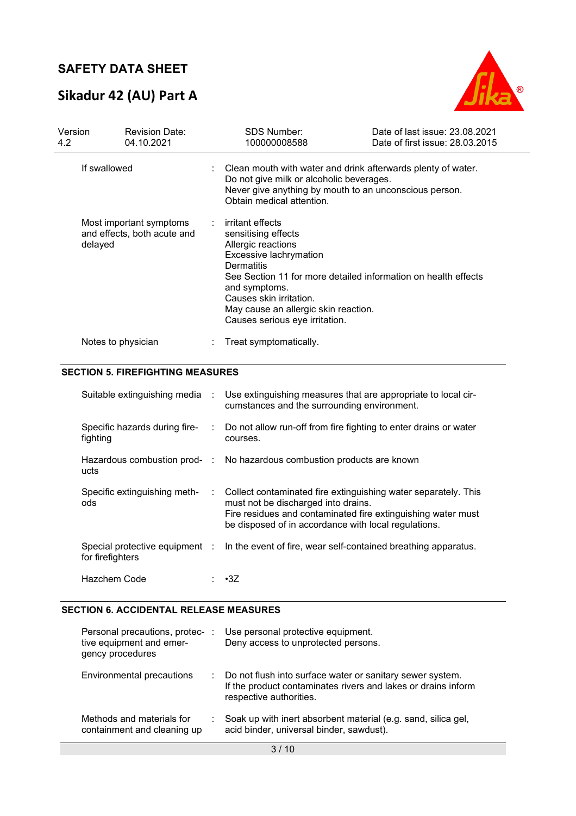# **Sikadur 42 (AU) Part A**



| Version<br>4.2                                                    | <b>Revision Date:</b><br>04.10.2021 | <b>SDS Number:</b><br>100000008588                                                                                                                                                                                          | Date of last issue: 23.08.2021<br>Date of first issue: 28.03.2015 |
|-------------------------------------------------------------------|-------------------------------------|-----------------------------------------------------------------------------------------------------------------------------------------------------------------------------------------------------------------------------|-------------------------------------------------------------------|
| If swallowed                                                      |                                     | Clean mouth with water and drink afterwards plenty of water.<br>Do not give milk or alcoholic beverages.<br>Never give anything by mouth to an unconscious person.<br>Obtain medical attention.                             |                                                                   |
| Most important symptoms<br>and effects, both acute and<br>delayed |                                     | irritant effects<br>sensitising effects<br>Allergic reactions<br>Excessive lachrymation<br>Dermatitis<br>and symptoms.<br>Causes skin irritation.<br>May cause an allergic skin reaction.<br>Causes serious eye irritation. | See Section 11 for more detailed information on health effects    |
|                                                                   | Notes to physician                  | Treat symptomatically.                                                                                                                                                                                                      |                                                                   |

#### **SECTION 5. FIREFIGHTING MEASURES**

| Suitable extinguishing media :            |                           | Use extinguishing measures that are appropriate to local cir-<br>cumstances and the surrounding environment.                                                                                                                  |
|-------------------------------------------|---------------------------|-------------------------------------------------------------------------------------------------------------------------------------------------------------------------------------------------------------------------------|
| Specific hazards during fire-<br>fighting | di l                      | Do not allow run-off from fire fighting to enter drains or water<br>courses.                                                                                                                                                  |
| ucts                                      |                           | Hazardous combustion prod- : No hazardous combustion products are known                                                                                                                                                       |
| Specific extinguishing meth-<br>ods       | $\mathbb{Z}^{\mathbb{Z}}$ | Collect contaminated fire extinguishing water separately. This<br>must not be discharged into drains.<br>Fire residues and contaminated fire extinguishing water must<br>be disposed of in accordance with local regulations. |
| for firefighters                          |                           | Special protective equipment : In the event of fire, wear self-contained breathing apparatus.                                                                                                                                 |
| Hazchem Code                              |                           | $: \cdot 3Z$                                                                                                                                                                                                                  |

#### **SECTION 6. ACCIDENTAL RELEASE MEASURES**

| Personal precautions, protec-:<br>tive equipment and emer-<br>gency procedures |    | Use personal protective equipment.<br>Deny access to unprotected persons.                                                                             |
|--------------------------------------------------------------------------------|----|-------------------------------------------------------------------------------------------------------------------------------------------------------|
| Environmental precautions                                                      | t. | Do not flush into surface water or sanitary sewer system.<br>If the product contaminates rivers and lakes or drains inform<br>respective authorities. |
| Methods and materials for<br>containment and cleaning up                       |    | Soak up with inert absorbent material (e.g. sand, silica gel,<br>acid binder, universal binder, sawdust).                                             |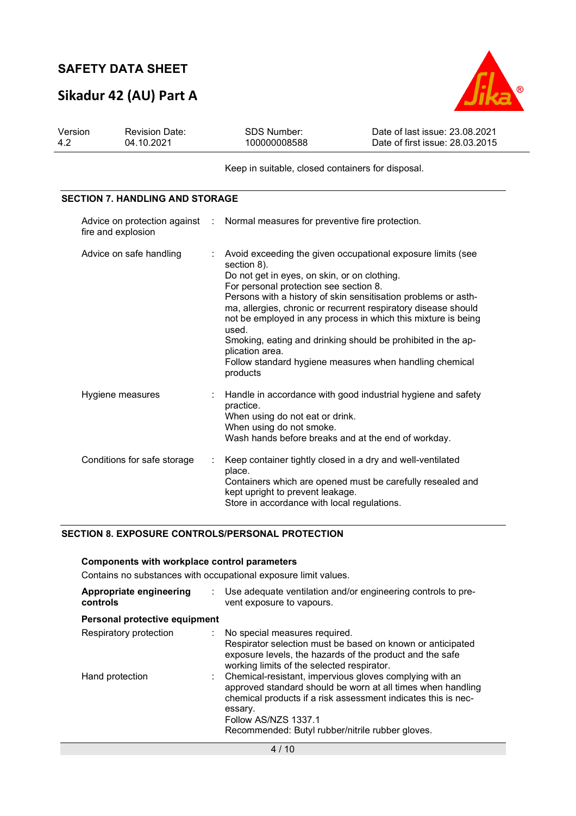# **Sikadur 42 (AU) Part A**



| Version<br>4.2 | <b>Revision Date:</b><br>04.10.2021                |          | <b>SDS Number:</b><br>100000008588                                                                                                                                                                                                                                                                                                                                                                                                                                                                                                           | Date of last issue: 23.08.2021<br>Date of first issue: 28.03.2015 |
|----------------|----------------------------------------------------|----------|----------------------------------------------------------------------------------------------------------------------------------------------------------------------------------------------------------------------------------------------------------------------------------------------------------------------------------------------------------------------------------------------------------------------------------------------------------------------------------------------------------------------------------------------|-------------------------------------------------------------------|
|                |                                                    |          | Keep in suitable, closed containers for disposal.                                                                                                                                                                                                                                                                                                                                                                                                                                                                                            |                                                                   |
|                | <b>SECTION 7. HANDLING AND STORAGE</b>             |          |                                                                                                                                                                                                                                                                                                                                                                                                                                                                                                                                              |                                                                   |
|                | Advice on protection against<br>fire and explosion | $\sim$ 1 | Normal measures for preventive fire protection.                                                                                                                                                                                                                                                                                                                                                                                                                                                                                              |                                                                   |
|                | Advice on safe handling                            |          | Avoid exceeding the given occupational exposure limits (see<br>section 8).<br>Do not get in eyes, on skin, or on clothing.<br>For personal protection see section 8.<br>Persons with a history of skin sensitisation problems or asth-<br>ma, allergies, chronic or recurrent respiratory disease should<br>not be employed in any process in which this mixture is being<br>used.<br>Smoking, eating and drinking should be prohibited in the ap-<br>plication area.<br>Follow standard hygiene measures when handling chemical<br>products |                                                                   |
|                | Hygiene measures                                   |          | Handle in accordance with good industrial hygiene and safety<br>practice.<br>When using do not eat or drink.<br>When using do not smoke.<br>Wash hands before breaks and at the end of workday.                                                                                                                                                                                                                                                                                                                                              |                                                                   |
|                | Conditions for safe storage                        |          | Keep container tightly closed in a dry and well-ventilated<br>place.<br>Containers which are opened must be carefully resealed and<br>kept upright to prevent leakage.<br>Store in accordance with local regulations.                                                                                                                                                                                                                                                                                                                        |                                                                   |

#### **SECTION 8. EXPOSURE CONTROLS/PERSONAL PROTECTION**

#### **Components with workplace control parameters**

Contains no substances with occupational exposure limit values.

| Appropriate engineering<br>controls | Use adequate ventilation and/or engineering controls to pre-<br>vent exposure to vapours.                                                                                                                                                                                      |
|-------------------------------------|--------------------------------------------------------------------------------------------------------------------------------------------------------------------------------------------------------------------------------------------------------------------------------|
| Personal protective equipment       |                                                                                                                                                                                                                                                                                |
| Respiratory protection              | : No special measures required.<br>Respirator selection must be based on known or anticipated<br>exposure levels, the hazards of the product and the safe<br>working limits of the selected respirator.                                                                        |
| Hand protection                     | Chemical-resistant, impervious gloves complying with an<br>approved standard should be worn at all times when handling<br>chemical products if a risk assessment indicates this is nec-<br>essary.<br>Follow AS/NZS 1337.1<br>Recommended: Butyl rubber/nitrile rubber gloves. |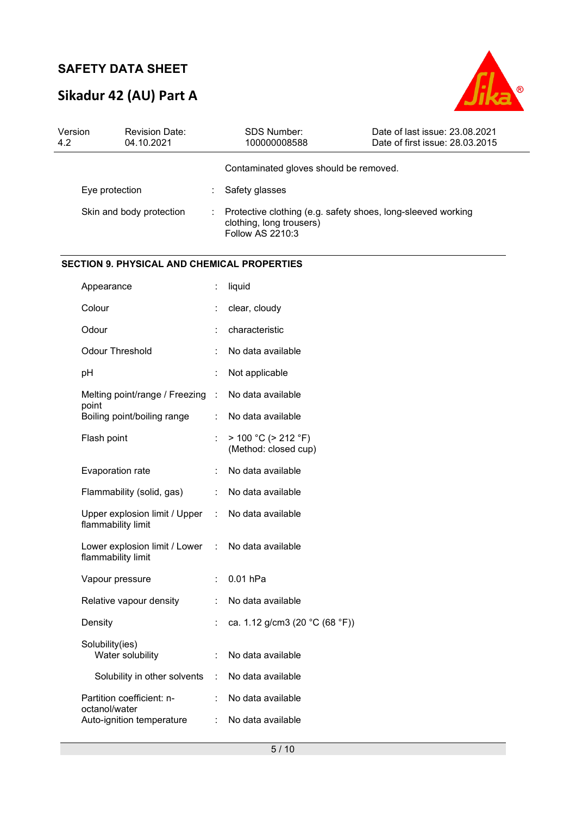# **Sikadur 42 (AU) Part A**



| Version<br>4.2 | <b>Revision Date:</b><br>04.10.2021                 |                             | SDS Number:<br>100000008588                                                                                  | Date of last issue: 23.08.2021<br>Date of first issue: 28.03.2015 |
|----------------|-----------------------------------------------------|-----------------------------|--------------------------------------------------------------------------------------------------------------|-------------------------------------------------------------------|
|                |                                                     |                             | Contaminated gloves should be removed.                                                                       |                                                                   |
|                | Eye protection                                      | ÷                           | Safety glasses                                                                                               |                                                                   |
|                | Skin and body protection                            |                             | Protective clothing (e.g. safety shoes, long-sleeved working<br>clothing, long trousers)<br>Follow AS 2210:3 |                                                                   |
|                | <b>SECTION 9. PHYSICAL AND CHEMICAL PROPERTIES</b>  |                             |                                                                                                              |                                                                   |
|                | Appearance                                          | ÷.                          | liquid                                                                                                       |                                                                   |
|                | Colour                                              |                             | clear, cloudy                                                                                                |                                                                   |
|                | Odour                                               |                             | characteristic                                                                                               |                                                                   |
|                | <b>Odour Threshold</b>                              |                             | No data available                                                                                            |                                                                   |
|                | pH                                                  |                             | Not applicable                                                                                               |                                                                   |
|                | Melting point/range / Freezing :<br>point           |                             | No data available                                                                                            |                                                                   |
|                | Boiling point/boiling range                         |                             | No data available                                                                                            |                                                                   |
|                | Flash point                                         |                             | $> 100 °C$ ( $> 212 °F$ )<br>(Method: closed cup)                                                            |                                                                   |
|                | Evaporation rate                                    |                             | No data available                                                                                            |                                                                   |
|                | Flammability (solid, gas)                           | ÷                           | No data available                                                                                            |                                                                   |
|                | Upper explosion limit / Upper<br>flammability limit | $\mathcal{L}_{\mathcal{A}}$ | No data available                                                                                            |                                                                   |
|                | Lower explosion limit / Lower<br>flammability limit | $\sim 100$                  | No data available                                                                                            |                                                                   |
|                | Vapour pressure                                     |                             | 0.01 hPa                                                                                                     |                                                                   |
|                | Relative vapour density                             |                             | No data available                                                                                            |                                                                   |
|                | Density                                             |                             | ca. 1.12 g/cm3 (20 °C (68 °F))                                                                               |                                                                   |
|                | Solubility(ies)<br>Water solubility                 |                             | No data available                                                                                            |                                                                   |
|                | Solubility in other solvents                        | $\ddot{\phantom{a}}$        | No data available                                                                                            |                                                                   |
|                | Partition coefficient: n-<br>octanol/water          |                             | No data available                                                                                            |                                                                   |
|                | Auto-ignition temperature                           |                             | No data available                                                                                            |                                                                   |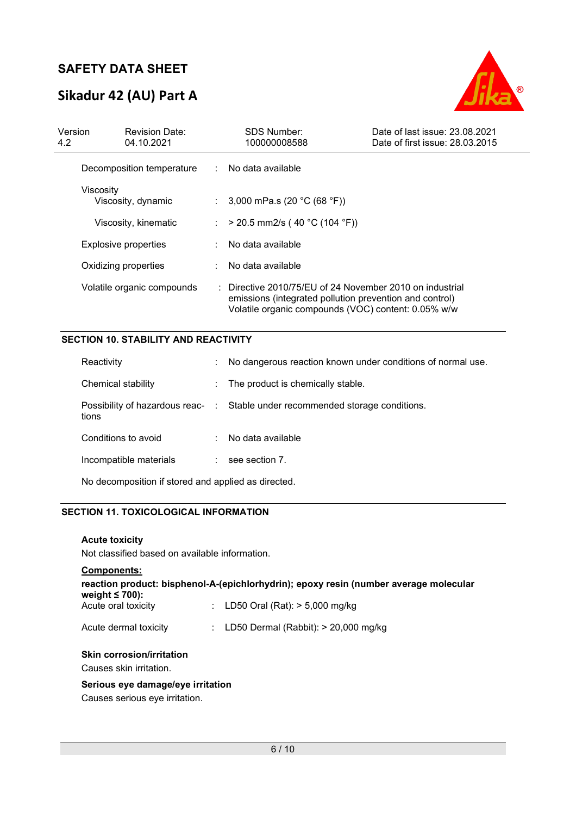# **Sikadur 42 (AU) Part A**



| Version<br>4.2 | <b>Revision Date:</b><br>04.10.2021 |                             | <b>SDS Number:</b><br>100000008588                                                                                                                                                    | Date of last issue: 23.08.2021<br>Date of first issue: 28.03.2015 |
|----------------|-------------------------------------|-----------------------------|---------------------------------------------------------------------------------------------------------------------------------------------------------------------------------------|-------------------------------------------------------------------|
|                | Decomposition temperature           | $\mathbb{R}^{\mathbb{Z}}$   | No data available                                                                                                                                                                     |                                                                   |
|                | Viscosity<br>Viscosity, dynamic     |                             | : $3,000$ mPa.s (20 °C (68 °F))                                                                                                                                                       |                                                                   |
|                | Viscosity, kinematic                | $\mathcal{L}^{\mathcal{L}}$ | $>$ 20.5 mm2/s (40 °C (104 °F))                                                                                                                                                       |                                                                   |
|                | Explosive properties                |                             | : No data available                                                                                                                                                                   |                                                                   |
|                | Oxidizing properties                |                             | No data available                                                                                                                                                                     |                                                                   |
|                | Volatile organic compounds          |                             | $\therefore$ Directive 2010/75/EU of 24 November 2010 on industrial<br>emissions (integrated pollution prevention and control)<br>Volatile organic compounds (VOC) content: 0.05% w/w |                                                                   |

#### **SECTION 10. STABILITY AND REACTIVITY**

| Reactivity             | t. | No dangerous reaction known under conditions of normal use.                   |
|------------------------|----|-------------------------------------------------------------------------------|
| Chemical stability     |    | : The product is chemically stable.                                           |
| tions                  |    | Possibility of hazardous reac- : Stable under recommended storage conditions. |
| Conditions to avoid    |    | : No data available                                                           |
| Incompatible materials |    | $:$ see section 7.                                                            |
|                        |    |                                                                               |

No decomposition if stored and applied as directed.

#### **SECTION 11. TOXICOLOGICAL INFORMATION**

**Acute toxicity** 

Not classified based on available information.

### **Components: reaction product: bisphenol-A-(epichlorhydrin); epoxy resin (number average molecular weight ≤ 700):**  Acute oral toxicity : LD50 Oral (Rat): > 5,000 mg/kg Acute dermal toxicity : LD50 Dermal (Rabbit): > 20,000 mg/kg

#### **Skin corrosion/irritation**

Causes skin irritation.

#### **Serious eye damage/eye irritation**

Causes serious eye irritation.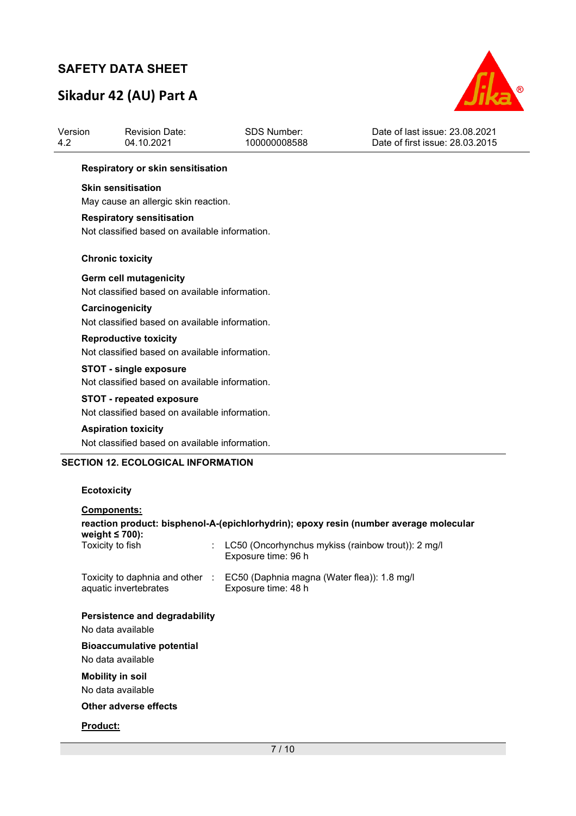# **Sikadur 42 (AU) Part A**



| Version<br>4.2 | <b>Revision Date:</b><br>04.10.2021            | <b>SDS Number:</b><br>100000008588             | Date of last issue: 23.08.2021<br>Date of first issue: 28.03.2015 |  |  |  |  |  |  |
|----------------|------------------------------------------------|------------------------------------------------|-------------------------------------------------------------------|--|--|--|--|--|--|
|                | Respiratory or skin sensitisation              |                                                |                                                                   |  |  |  |  |  |  |
|                | <b>Skin sensitisation</b>                      |                                                |                                                                   |  |  |  |  |  |  |
|                | May cause an allergic skin reaction.           |                                                |                                                                   |  |  |  |  |  |  |
|                | <b>Respiratory sensitisation</b>               |                                                |                                                                   |  |  |  |  |  |  |
|                | Not classified based on available information. |                                                |                                                                   |  |  |  |  |  |  |
|                | <b>Chronic toxicity</b>                        |                                                |                                                                   |  |  |  |  |  |  |
|                | <b>Germ cell mutagenicity</b>                  |                                                |                                                                   |  |  |  |  |  |  |
|                |                                                | Not classified based on available information. |                                                                   |  |  |  |  |  |  |
|                | Carcinogenicity                                |                                                |                                                                   |  |  |  |  |  |  |
|                | Not classified based on available information. |                                                |                                                                   |  |  |  |  |  |  |
|                | <b>Reproductive toxicity</b>                   |                                                |                                                                   |  |  |  |  |  |  |
|                | Not classified based on available information. |                                                |                                                                   |  |  |  |  |  |  |
|                | <b>STOT - single exposure</b>                  |                                                |                                                                   |  |  |  |  |  |  |
|                | Not classified based on available information. |                                                |                                                                   |  |  |  |  |  |  |
|                | <b>STOT - repeated exposure</b>                |                                                |                                                                   |  |  |  |  |  |  |
|                | Not classified based on available information. |                                                |                                                                   |  |  |  |  |  |  |
|                | <b>Aspiration toxicity</b>                     |                                                |                                                                   |  |  |  |  |  |  |
|                | Not classified based on available information. |                                                |                                                                   |  |  |  |  |  |  |
|                | <b>SECTION 12. ECOLOGICAL INFORMATION</b>      |                                                |                                                                   |  |  |  |  |  |  |
|                | <b>Ecotoxicity</b>                             |                                                |                                                                   |  |  |  |  |  |  |
|                | Components:                                    |                                                |                                                                   |  |  |  |  |  |  |

| <b>Components:</b>                                                                                            |                                                                                                    |  |  |  |
|---------------------------------------------------------------------------------------------------------------|----------------------------------------------------------------------------------------------------|--|--|--|
| reaction product: bisphenol-A-(epichlorhydrin); epoxy resin (number average molecular<br>weight $\leq 700$ ): |                                                                                                    |  |  |  |
| Toxicity to fish                                                                                              | LC50 (Oncorhynchus mykiss (rainbow trout)): 2 mg/l<br>Exposure time: 96 h                          |  |  |  |
| aquatic invertebrates                                                                                         | Toxicity to daphnia and other : EC50 (Daphnia magna (Water flea)): 1.8 mg/l<br>Exposure time: 48 h |  |  |  |
| Persistence and degradability                                                                                 |                                                                                                    |  |  |  |
| No data available                                                                                             |                                                                                                    |  |  |  |
| <b>Bioaccumulative potential</b>                                                                              |                                                                                                    |  |  |  |
| No data available                                                                                             |                                                                                                    |  |  |  |
| <b>Mobility in soil</b>                                                                                       |                                                                                                    |  |  |  |
| No data available                                                                                             |                                                                                                    |  |  |  |
| Other adverse effects                                                                                         |                                                                                                    |  |  |  |
| <b>Product:</b>                                                                                               |                                                                                                    |  |  |  |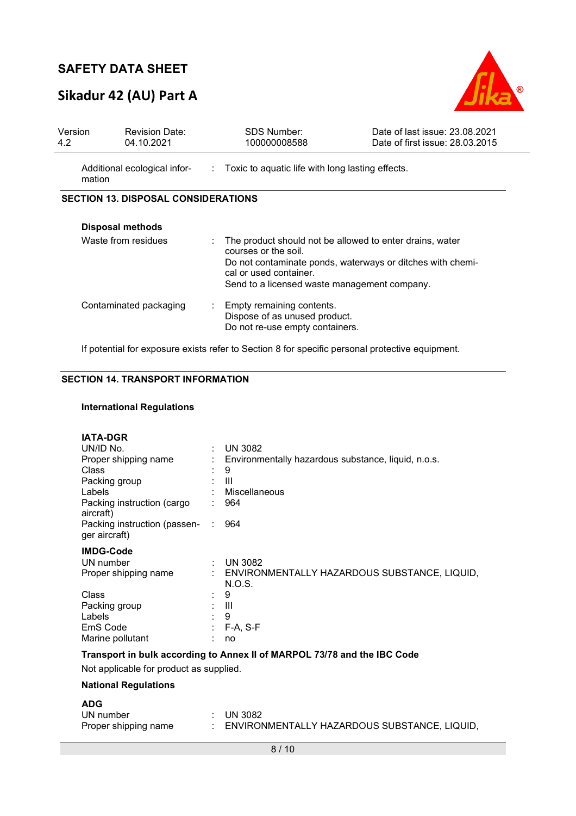# **Sikadur 42 (AU) Part A**



| Version<br>4.2 | <b>Revision Date:</b><br>04.10.2021        |   | <b>SDS Number:</b><br>100000008588                                                                                                                                                                                       | Date of last issue: 23.08.2021<br>Date of first issue: 28.03.2015 |
|----------------|--------------------------------------------|---|--------------------------------------------------------------------------------------------------------------------------------------------------------------------------------------------------------------------------|-------------------------------------------------------------------|
|                | Additional ecological infor-<br>mation     |   | : Toxic to aquatic life with long lasting effects.                                                                                                                                                                       |                                                                   |
|                | <b>SECTION 13. DISPOSAL CONSIDERATIONS</b> |   |                                                                                                                                                                                                                          |                                                                   |
|                | <b>Disposal methods</b>                    |   |                                                                                                                                                                                                                          |                                                                   |
|                | Waste from residues                        |   | The product should not be allowed to enter drains, water<br>courses or the soil.<br>Do not contaminate ponds, waterways or ditches with chemi-<br>cal or used container.<br>Send to a licensed waste management company. |                                                                   |
|                | Contaminated packaging                     | ÷ | Empty remaining contents.<br>Dispose of as unused product.<br>Do not re-use empty containers.                                                                                                                            |                                                                   |

If potential for exposure exists refer to Section 8 for specific personal protective equipment.

#### **SECTION 14. TRANSPORT INFORMATION**

#### **International Regulations**

| <b>IATA-DGR</b>                                                          |    |                                                          |  |
|--------------------------------------------------------------------------|----|----------------------------------------------------------|--|
| UN/ID No.                                                                |    | $:$ UN 3082                                              |  |
| Proper shipping name                                                     |    | Environmentally hazardous substance, liquid, n.o.s.      |  |
| <b>Class</b>                                                             |    | 9                                                        |  |
| Packing group                                                            |    | Ш                                                        |  |
| Labels                                                                   |    | : Miscellaneous                                          |  |
| Packing instruction (cargo<br>aircraft)                                  |    | 964                                                      |  |
| Packing instruction (passen-<br>ger aircraft)                            | ÷. | 964                                                      |  |
| <b>IMDG-Code</b>                                                         |    |                                                          |  |
| UN number                                                                |    | : UN 3082                                                |  |
| Proper shipping name                                                     |    | : ENVIRONMENTALLY HAZARDOUS SUBSTANCE, LIQUID,<br>N.O.S. |  |
| Class                                                                    |    | 9                                                        |  |
| Packing group                                                            |    | : III                                                    |  |
| Labels                                                                   |    | 9                                                        |  |
| EmS Code                                                                 |    | $F-A, S-F$                                               |  |
| Marine pollutant                                                         |    | no                                                       |  |
| Transport in bulk according to Annex II of MARPOL 73/78 and the IBC Code |    |                                                          |  |
| Not applicable for product as supplied.                                  |    |                                                          |  |

#### **National Regulations**

#### **ADG**

| UN number            | $\therefore$ UN 3082                         |
|----------------------|----------------------------------------------|
| Proper shipping name | ENVIRONMENTALLY HAZARDOUS SUBSTANCE, LIQUID, |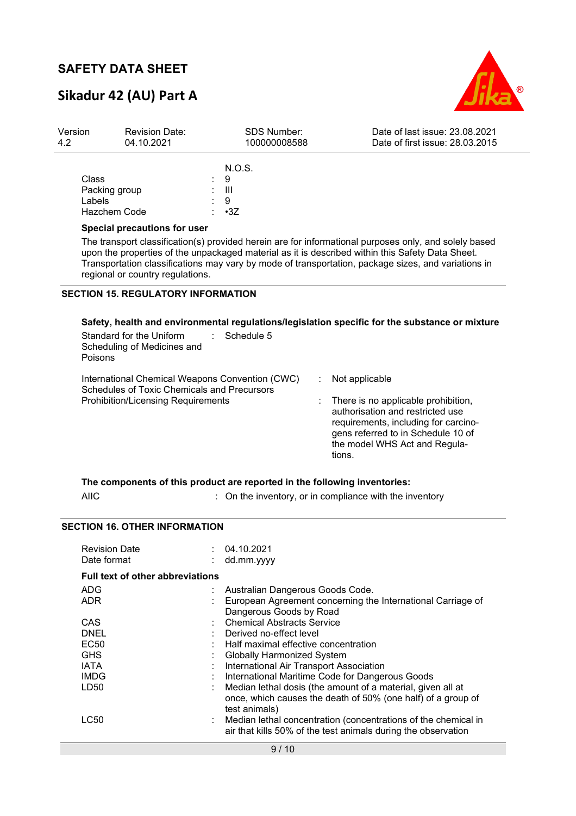# **Sikadur 42 (AU) Part A**

Revision Date:

Version



Date of last issue: 23.08.2021

| 4.2 | 04.10.2021                                                                                                                           | 100000008588 | Date of first issue: 28.03.2015                                                                                                                                                                              |  |
|-----|--------------------------------------------------------------------------------------------------------------------------------------|--------------|--------------------------------------------------------------------------------------------------------------------------------------------------------------------------------------------------------------|--|
|     |                                                                                                                                      | N.O.S.       |                                                                                                                                                                                                              |  |
|     | Class                                                                                                                                | 9            |                                                                                                                                                                                                              |  |
|     | Packing group                                                                                                                        | -111         |                                                                                                                                                                                                              |  |
|     | Labels                                                                                                                               | -9           |                                                                                                                                                                                                              |  |
|     | Hazchem Code                                                                                                                         | $\cdot$ 3Z   |                                                                                                                                                                                                              |  |
|     | Special precautions for user                                                                                                         |              |                                                                                                                                                                                                              |  |
|     | upon the properties of the unpackaged material as it is described within this Safety Data Sheet.<br>regional or country regulations. |              | The transport classification(s) provided herein are for informational purposes only, and solely based<br>Transportation classifications may vary by mode of transportation, package sizes, and variations in |  |
|     | <b>SECTION 15. REGULATORY INFORMATION</b>                                                                                            |              |                                                                                                                                                                                                              |  |

SDS Number:

### **Safety, health and environmental regulations/legislation specific for the substance or mixture**

| Schedule 5<br>Standard for the Uniform<br>Scheduling of Medicines and<br>Poisons                                                                   |                                                                                                                                                                                                                    |
|----------------------------------------------------------------------------------------------------------------------------------------------------|--------------------------------------------------------------------------------------------------------------------------------------------------------------------------------------------------------------------|
| International Chemical Weapons Convention (CWC)<br><b>Schedules of Toxic Chemicals and Precursors</b><br><b>Prohibition/Licensing Requirements</b> | Not applicable<br>There is no applicable prohibition,<br>authorisation and restricted use<br>requirements, including for carcino-<br>gens referred to in Schedule 10 of<br>the model WHS Act and Regula-<br>tions. |

|      | The components of this product are reported in the following inventories: |
|------|---------------------------------------------------------------------------|
| AIIC | : On the inventory, or in compliance with the inventory                   |

### **SECTION 16. OTHER INFORMATION**

| <b>Revision Date</b><br>Date format     |   | 04.10.2021<br>dd.mm.yyyy                                       |  |  |
|-----------------------------------------|---|----------------------------------------------------------------|--|--|
| <b>Full text of other abbreviations</b> |   |                                                                |  |  |
| ADG                                     | ÷ | Australian Dangerous Goods Code.                               |  |  |
| <b>ADR</b>                              |   | European Agreement concerning the International Carriage of    |  |  |
|                                         |   | Dangerous Goods by Road                                        |  |  |
| CAS                                     |   | <b>Chemical Abstracts Service</b>                              |  |  |
| <b>DNEL</b>                             |   | Derived no-effect level                                        |  |  |
| <b>EC50</b>                             |   | Half maximal effective concentration                           |  |  |
| <b>GHS</b>                              |   | <b>Globally Harmonized System</b>                              |  |  |
| <b>IATA</b>                             |   | International Air Transport Association                        |  |  |
| <b>IMDG</b>                             |   | International Maritime Code for Dangerous Goods                |  |  |
| LD50                                    |   | Median lethal dosis (the amount of a material, given all at    |  |  |
|                                         |   | once, which causes the death of 50% (one half) of a group of   |  |  |
|                                         |   | test animals)                                                  |  |  |
| LC50                                    |   | Median lethal concentration (concentrations of the chemical in |  |  |
|                                         |   | air that kills 50% of the test animals during the observation  |  |  |
| 9/10                                    |   |                                                                |  |  |